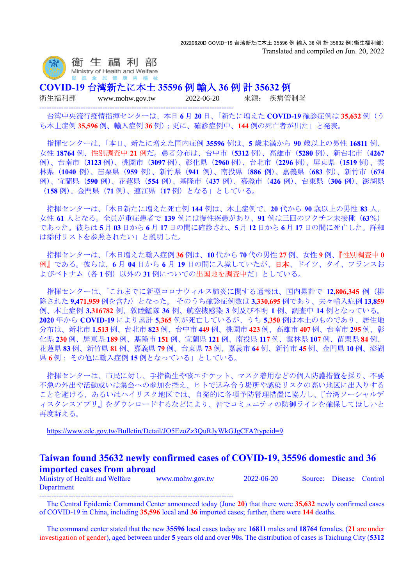

**COVID-19** 台湾新たに本土 **35596** 例 輸入 **36** 例 計 **35632** 例

--------------------------------------------------------------------------------

衛生福利部 www.mohw.gov.tw 2022-06-20 來源: 疾病管制署

台湾中央流行疫情指揮センターは、本日 **6** 月 **20** 日、「新たに増えた **COVID-19** 確診症例は **35,632** 例(う ち本土症例 **35,596** 例、輸入症例 **36** 例);更に、確診症例中、**144** 例の死亡者が出た」と発表。

指揮センターは、「本日、新たに増えた国内症例 **35596** 例は、**5** 歳未満から **90** 歳以上の男性 **16811** 例、 女性 **18764** 例、性別調査中 **21** 例だ。患者分布は、台中市(**5312** 例)、高雄市(**5280** 例)、新台北市(**4267** 例)、台南市(**3123** 例)、桃園市(**3097** 例)、彰化県(**2960** 例)、台北市(**2296** 例)、屏東県(**1519** 例)、雲 林県(**1040** 例)、苗栗県(**959** 例)、新竹県(**941** 例)、南投県(**886** 例)、嘉義県(**683** 例)、新竹市(**674** 例)、宜蘭県(**590** 例)、花蓮県(**554** 例)、基隆市(**437** 例)、嘉義市(**426** 例)、台東県(**306** 例)、澎湖県 (**158** 例)、金門県(**71** 例)、連江県(**17** 例)となる」としている。

指揮センターは、「本日新たに増えた死亡例 **144** 例は、本土症例で、**20** 代から **90** 歳以上の男性 **83** 人、 女性 **61** 人となる。全員が重症患者で **139** 例には慢性疾患があり、**91** 例は三回のワクチン未接種(**63**%) であった。彼らは **5** 月 **03** 日から **6** 月 **17** 日の間に確診され、**5** 月 **12** 日から **6** 月 **17** 日の間に死亡した。詳細 は添付リストを参照されたい」と説明した。

指揮センターは、「本日増えた輸入症例 **36** 例は、**10** 代から **70** 代の男性 **27** 例、女性 **9** 例、『性別調査中 **0** 例』である。彼らは、**6** 月 **04** 日から **6** 月 **19** 日の間に入境していたが、日本、ドイツ、タイ、フランスお よびベトナム(各 **1** 例)以外の **31** 例についての出国地を調査中だ」としている。

指揮センターは、「これまでに新型コロナウィルス肺炎に関する通報は、国内累計で **12,806,345** 例(排 除された **9,471,959** 例を含む)となった。 そのうち確診症例数は **3,330,695** 例であり、夫々輸入症例 **13,859** 例、本土症例 **3,316782** 例、敦睦艦隊 **36** 例、航空機感染 **3** 例及び不明 **1** 例、調査中 **14** 例となっている。 **2020** 年から **COVID-19** により累計 **5,365** 例が死亡しているが、うち **5,350** 例は本土のものであり、居住地 分布は、新北市 **1,513** 例、台北市 **823** 例、台中市 **449** 例、桃園市 **423** 例、高雄市 **407** 例、台南市 **295** 例、彰 化県 **230** 例、屏東県 **189** 例、基隆市 **151** 例、宜蘭県 **121** 例、南投県 **117** 例、雲林県 **107** 例、苗栗県 **84** 例、 花蓮県 **83** 例、新竹県 **81** 例、嘉義県 **79** 例、台東県 **73** 例、嘉義市 **64** 例、新竹市 **45** 例、金門県 **10** 例、澎湖 県 **6** 例; その他に輸入症例 **15** 例となっている」としている。

指揮センターは、市民に対し、手指衛生や咳エチケット、マスク着用などの個人防護措置を採り、不要 不急の外出や活動或いは集会への参加を控え、ヒトで込み合う場所や感染リスクの高い地区に出入りする ことを避ける、あるいはハイリスク地区では、自発的に各項予防管理措置に協力し、『台湾ソーシャルデ ィスタンスアプリ』をダウンロードするなどにより、皆でコミュニティの防御ラインを確保してほしいと 再度訴える。

<https://www.cdc.gov.tw/Bulletin/Detail/JO5EzoZz3QuRJyWkGJgCFA?typeid=9>

## **Taiwan found 35632 newly confirmed cases of COVID-19, 35596 domestic and 36 imported cases from abroad**

Ministry of Health and Welfare www.mohw.gov.tw 2022-06-20 Source: Disease Control Department --------------------------------------------------------------------------------

The Central Epidemic Command Center announced today (June **20**) that there were **35,632** newly confirmed cases of COVID-19 in China, including **35,596** local and **36** imported cases; further, there were **144** deaths.

The command center stated that the new **35596** local cases today are **16811** males and **18764** females, (**21** are under investigation of gender), aged between under **5** years old and over **90**s. The distribution of cases is Taichung City (**5312**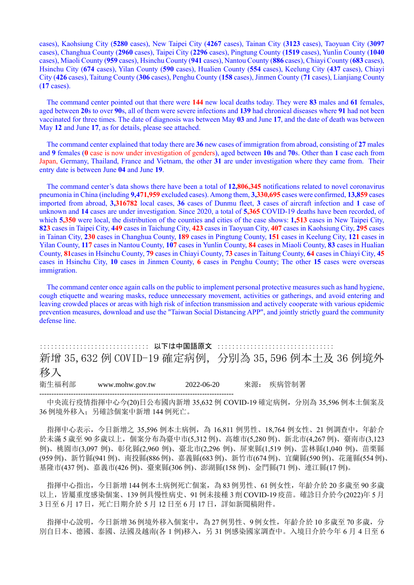cases), Kaohsiung City (**5280** cases), New Taipei City (**4267** cases), Tainan City (**3123** cases), Taoyuan City (**3097** cases), Changhua County (**2960** cases), Taipei City (**2296** cases), Pingtung County (**1519** cases), Yunlin County (**1040** cases), Miaoli County (**959** cases), Hsinchu County (**941** cases), Nantou County (**886** cases), Chiayi County (**683** cases), Hsinchu City (**674** cases), Yilan County (**590** cases), Hualien County (**554** cases), Keelung City (**437** cases), Chiayi City (**426** cases), Taitung County (**306** cases), Penghu County (**158** cases), Jinmen County (**71** cases), Lianjiang County (**17** cases).

The command center pointed out that there were **144** new local deaths today. They were **83** males and **61** females, aged between **20**s to over **90**s, all of them were severe infections and **139** had chronical diseases where **91** had not been vaccinated for three times. The date of diagnosis was between May **03** and June **17**, and the date of death was between May **12** and June **17**, as for details, please see attached.

The command center explained that today there are **36** new cases of immigration from abroad, consisting of **27** males and **9** females (**0** case is now under investigation of genders), aged between **10**s and **70**s. Other than **1** case each from Japan, Germany, Thailand, France and Vietnam, the other **31** are under investigation where they came from. Their entry date is between June **04** and June **19**.

The command center's data shows there have been a total of **12,806,345** notifications related to novel coronavirus pneumonia in China (including **9,471,959** excluded cases). Among them, **3,330,695** cases were confirmed, **13,859** cases imported from abroad, **3,316782** local cases, **36** cases of Dunmu fleet, **3** cases of aircraft infection and **1** case of unknown and **14** cases are under investigation. Since 2020, a total of **5,365** COVID-19 deaths have been recorded, of which **5,350** were local, the distribution of the counties and cities of the case shows: **1,513** cases in New Taipei City, **823** cases in Taipei City, **449** cases in Taichung City, **423** cases in Taoyuan City, **407** cases in Kaohsiung City, **295** cases in Tainan City, **230** cases in Changhua County, **189** cases in Pingtung County, **151** cases in Keelung City, **121** cases in Yilan County, **117** cases in Nantou County, **107** cases in Yunlin County, **84** cases in Miaoli County, **83** cases in Hualian County, **81**cases in Hsinchu County, **79** cases in Chiayi County, **73** cases in Taitung County, **64** cases in Chiayi City, **45** cases in Hsinchu City, **10** cases in Jinmen County, **6** cases in Penghu County; The other **15** cases were overseas immigration.

The command center once again calls on the public to implement personal protective measures such as hand hygiene, cough etiquette and wearing masks, reduce unnecessary movement, activities or gatherings, and avoid entering and leaving crowded places or areas with high risk of infection transmission and actively cooperate with various epidemic prevention measures, download and use the "Taiwan Social Distancing APP", and jointly strictly guard the community defense line.

:::::::::::::::::::::::::::::: 以下は中国語原文 :::::::::::::::::::::::::::::::: 新增 35,632 例 COVID-19 確定病例,分別為 35,596 例本土及 36 例境外 移入 衛生福利部 www.mohw.gov.tw 2022-06-20 來源: 疾病管制署 --------------------------------------------------------------------------------

中央流行疫情指揮中心今(20)日公布國內新增 35,632 例 COVID-19 確定病例, 分別為 35,596 例本土個案及 36 例境外移入;另確診個案中新增 144 例死亡。

指揮中心表示,今日新增之 35,596 例本土病例,為 16,811 例男性、18,764 例女性、21 例調查中,年齡介 於未滿 5 歲至 90 多歲以上, 個案分布為臺中市(5,312 例)、高雄市(5,280 例)、新北市(4,267 例)、臺南市(3,123 例)、桃園市(3,097 例)、彰化縣(2,960 例)、臺北市(2,296 例)、屏東縣(1,519 例)、雲林縣(1,040 例)、苗栗縣 (959例)、新竹縣(941例)、南投縣(886例)、嘉義縣(683例)、新竹市(674例)、宜蘭縣(590例)、花蓮縣(554例)、 基隆市(437 例)、嘉義市(426 例)、臺東縣(306 例)、澎湖縣(158 例)、金門縣(71 例)、連江縣(17 例)。

指揮中心指出,今日新增 144 例本土病例死亡個案,為 83 例男性、61 例女性,年齡介於 20多歲至 90 多歲 以上,皆屬重度感染個案、139 例具慢性病史、91 例未接種 3 劑 COVID-19 疫苗。確診日介於今(2022)年 5 月 3 日至 6 月 17 日, 死亡日期介於 5 月 12 日至 6 月 17 日, 詳如新聞稿附件。

指揮中心說明,今日新增 36 例境外移入個案中,為 27 例男性、9例女性,年齡介於 10 多歲至 70多歲,分 別自日本、德國、泰國、法國及越南(各 1 例)移入,另 31 例感染國家調查中。入境日介於今年 6 月 4 日至 6